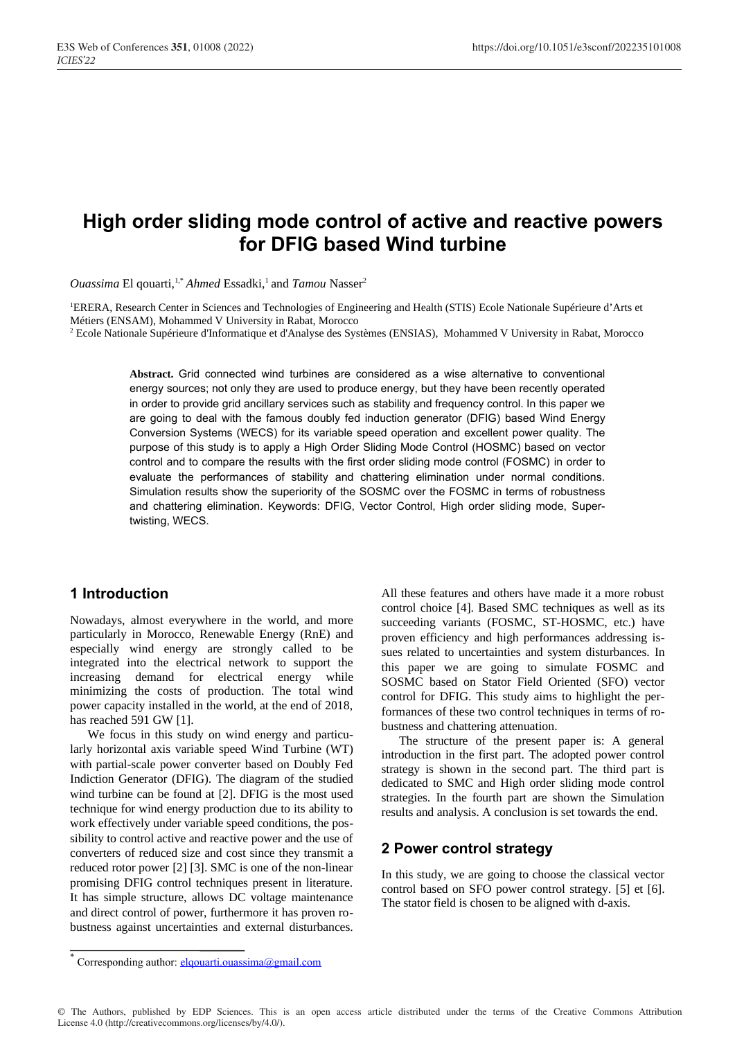# **High order sliding mode control of active and reactive powers for DFIG based Wind turbine**

*Ouassima El gouarti,<sup>1,\*</sup> Ahmed Essadki,<sup>1</sup> and <i>Tamou Nasser<sup>2</sup>* 

<sup>1</sup>ERERA, Research Center in Sciences and Technologies of Engineering and Health (STIS) Ecole Nationale Supérieure d'Arts et Métiers (ENSAM), Mohammed V University in Rabat, Morocco

<sup>2</sup> Ecole Nationale Supérieure d'Informatique et d'Analyse des Systèmes (ENSIAS), Mohammed V University in Rabat, Morocco

**Abstract.** Grid connected wind turbines are considered as a wise alternative to conventional energy sources; not only they are used to produce energy, but they have been recently operated in order to provide grid ancillary services such as stability and frequency control. In this paper we are going to deal with the famous doubly fed induction generator (DFIG) based Wind Energy Conversion Systems (WECS) for its variable speed operation and excellent power quality. The purpose of this study is to apply a High Order Sliding Mode Control (HOSMC) based on vector control and to compare the results with the first order sliding mode control (FOSMC) in order to evaluate the performances of stability and chattering elimination under normal conditions. Simulation results show the superiority of the SOSMC over the FOSMC in terms of robustness and chattering elimination. Keywords: DFIG, Vector Control, High order sliding mode, Supertwisting, WECS.

# **1 Introduction**

Nowadays, almost everywhere in the world, and more particularly in Morocco, Renewable Energy (RnE) and especially wind energy are strongly called to be integrated into the electrical network to support the increasing demand for electrical energy while minimizing the costs of production. The total wind power capacity installed in the world, at the end of 2018, has reached 591 GW [1].

We focus in this study on wind energy and particularly horizontal axis variable speed Wind Turbine (WT) with partial-scale power converter based on Doubly Fed Indiction Generator (DFIG). The diagram of the studied wind turbine can be found at [2]. DFIG is the most used technique for wind energy production due to its ability to work effectively under variable speed conditions, the possibility to control active and reactive power and the use of converters of reduced size and cost since they transmit a reduced rotor power [2] [3]. SMC is one of the non-linear promising DFIG control techniques present in literature. It has simple structure, allows DC voltage maintenance and direct control of power, furthermore it has proven robustness against uncertainties and external disturbances.

All these features and others have made it a more robust control choice [4]. Based SMC techniques as well as its succeeding variants (FOSMC, ST-HOSMC, etc.) have proven efficiency and high performances addressing issues related to uncertainties and system disturbances. In this paper we are going to simulate FOSMC and SOSMC based on Stator Field Oriented (SFO) vector control for DFIG. This study aims to highlight the performances of these two control techniques in terms of robustness and chattering attenuation.

The structure of the present paper is: A general introduction in the first part. The adopted power control strategy is shown in the second part. The third part is dedicated to SMC and High order sliding mode control strategies. In the fourth part are shown the Simulation results and analysis. A conclusion is set towards the end.

# **2 Power control strategy**

In this study, we are going to choose the classical vector control based on SFO power control strategy. [5] et [6]. The stator field is chosen to be aligned with d-axis.

© The Authors, published by EDP Sciences. This is an open access article distributed under the terms of the Creative Commons Attribution License 4.0 (http://creativecommons.org/licenses/by/4.0/).

Corresponding author: elqouarti.ouassima@gmail.com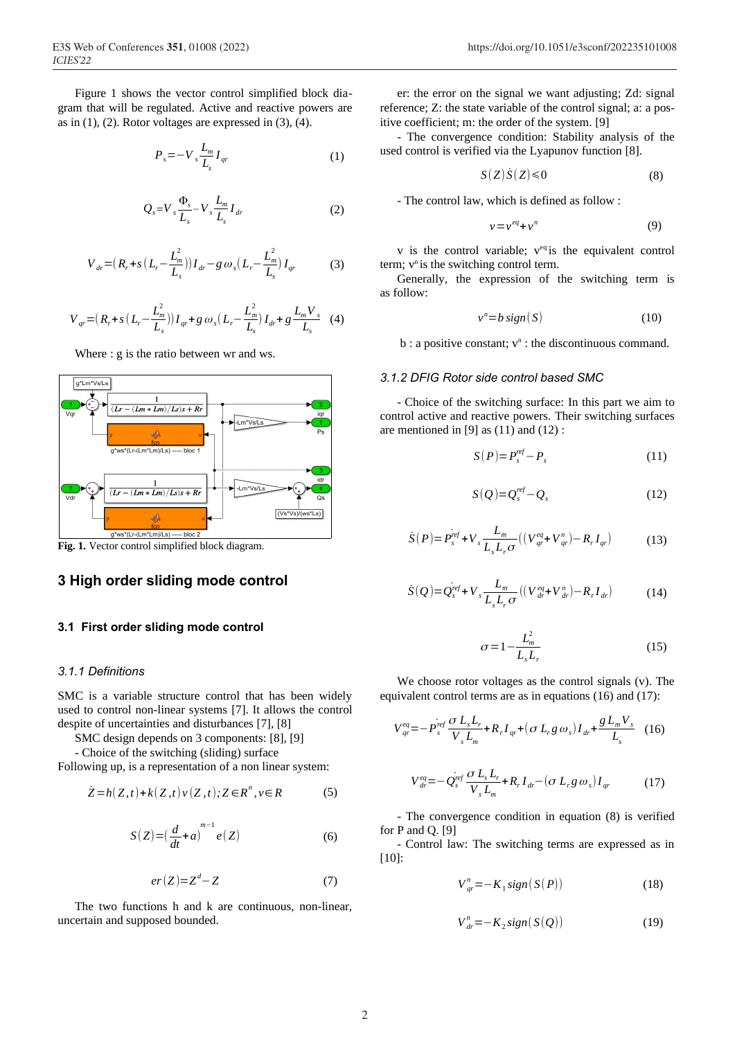Figure 1 shows the vector control simplified block diagram that will be regulated. Active and reactive powers are as in  $(1)$ ,  $(2)$ . Rotor voltages are expressed in  $(3)$ ,  $(4)$ .

$$
P_s = -V_s \frac{L_m}{L_s} I_{qr} \tag{1}
$$

$$
Q_s = V_s \frac{\Phi_s}{L_s} - V_s \frac{L_m}{L_s} I_{dr} \tag{2}
$$

$$
V_{dr} = (R_r + s(L_r - \frac{L_m^2}{L_s})) I_{dr} - g \omega_s (L_r - \frac{L_m^2}{L_s}) I_{qr}
$$
 (3)

$$
V_{qr} = (R_r + s(L_r - \frac{L_m^2}{L_s})) I_{qr} + g \omega_s (L_r - \frac{L_m^2}{L_s}) I_{dr} + g \frac{L_m V_s}{L_s}
$$
 (4)

Where : g is the ratio between wr and ws.



**Fig. 1.** Vector control simplified block diagram.

# **3 High order sliding mode control**

### **3.1 First order sliding mode control**

#### *3.1.1 Definitions*

SMC is a variable structure control that has been widely used to control non-linear systems [7]. It allows the control despite of uncertainties and disturbances [7], [8]

SMC design depends on 3 components: [8], [9]

- Choice of the switching (sliding) surface

Following up, is a representation of a non linear system:

$$
\dot{Z} = h(Z, t) + k(Z, t)v(Z, t); Z \in R^n, v \in R
$$
 (5)

$$
S(Z) = \left(\frac{d}{dt} + a\right)^{m-1} e(Z) \tag{6}
$$

$$
er(Z)=Z^d-Z\tag{7}
$$

The two functions h and k are continuous, non-linear, uncertain and supposed bounded.

er: the error on the signal we want adjusting; Zd: signal reference; Z: the state variable of the control signal; a: a positive coefficient; m: the order of the system. [9]

- The convergence condition: Stability analysis of the used control is verified via the Lyapunov function [8].

$$
S(Z)\dot{S}(Z) \le 0 \tag{8}
$$

- The control law, which is defined as follow :

$$
v = v^{eq} + v^n \tag{9}
$$

 $v$  is the control variable;  $v^{eq}$  is the equivalent control term;  $v<sup>n</sup>$  is the switching control term.

Generally, the expression of the switching term is as follow:

$$
v^n = b \, sign(S) \tag{10}
$$

 $b: a$  positive constant;  $v<sup>n</sup>:$  the discontinuous command.

#### *3.1.2 DFIG Rotor side control based SMC*

- Choice of the switching surface: In this part we aim to control active and reactive powers. Their switching surfaces are mentioned in  $[9]$  as  $(11)$  and  $(12)$ :

$$
S(P)=P_s^{ref}-P_s \tag{11}
$$

$$
S(Q)=Q_s^{ref}-Q_s \tag{12}
$$

$$
\dot{S}(P) = P_s^{\text{ref}} + V_s \frac{L_m}{L_s L_r \sigma} \left( \left( V_{qr}^{eq} + V_{qr}^n \right) - R_r I_{qr} \right) \tag{13}
$$

$$
\dot{S}(Q) = Q_s^{\text{ref}} + V_s \frac{L_m}{L_s L_r \sigma} \left( \left( V_{dr}^{\text{eq}} + V_{dr}^{\text{n}} \right) - R_r I_{dr} \right) \tag{14}
$$

$$
\sigma = 1 - \frac{L_m^2}{L_s L_r} \tag{15}
$$

We choose rotor voltages as the control signals (v). The equivalent control terms are as in equations (16) and (17):

$$
V_{qr}^{eq} = -\dot{P}_s^{ref} \frac{\sigma L_s L_r}{V_s L_m} + R_r I_{qr} + (\sigma L_r g \omega_s) I_{dr} + \frac{g L_m V_s}{L_s} \quad (16)
$$

$$
V_{dr}^{eq} = -Q_{s}^{ref} \frac{\sigma L_{s} L_{r}}{V_{s} L_{m}} + R_{r} I_{dr} - (\sigma L_{r} g \omega_{s}) I_{qr}
$$
(17)

*-* The convergence condition in equation (8) is verified for P and Q. [9]

- Control law: The switching terms are expressed as in [10]:

$$
V_{qr}^{n} = -K_{1}sign(S(P))
$$
\n(18)

$$
V_{dr}^{n} = -K_{2}sign(S(Q))
$$
 (19)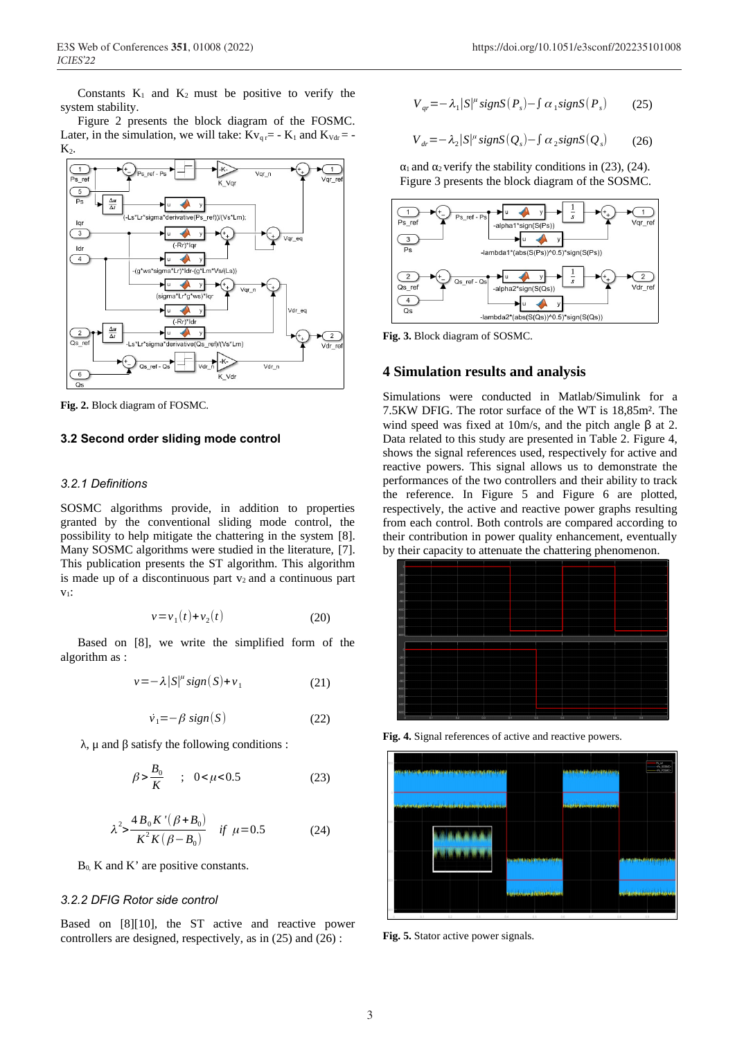Constants  $K_1$  and  $K_2$  must be positive to verify the system stability.

Figure 2 presents the block diagram of the FOSMC. Later, in the simulation, we will take:  $Kv_{\text{gr}} = -K_1$  and  $K_{\text{Vdr}} = -$ K<sub>2</sub>.



**Fig. 2.** Block diagram of FOSMC.

## **3.2 Second order sliding mode control**

#### *3.2.1 Definitions*

SOSMC algorithms provide, in addition to properties granted by the conventional sliding mode control, the possibility to help mitigate the chattering in the system [8]. Many SOSMC algorithms were studied in the literature, [7]. This publication presents the ST algorithm. This algorithm is made up of a discontinuous part  $v_2$  and a continuous part  $V_1$ :

$$
v = v_1(t) + v_2(t) \tag{20}
$$

Based on [8], we write the simplified form of the algorithm as :

$$
v = -\lambda |S|^\mu \text{sign}(S) + v_1 \tag{21}
$$

$$
\dot{v}_1 = -\beta \, sign(S) \tag{22}
$$

λ, μ and β satisfy the following conditions :

$$
\beta > \frac{B_0}{K} \quad ; \quad 0 < \mu < 0.5 \tag{23}
$$

$$
\lambda^2 > \frac{4 B_0 K' (\beta + B_0)}{K^2 K (\beta - B_0)} \quad \text{if } \mu = 0.5 \tag{24}
$$

 $B_0$ , K and K' are positive constants.

#### *3.2.2 DFIG Rotor side control*

Based on [8][10], the ST active and reactive power controllers are designed, respectively, as in (25) and (26) :

$$
V_{qr} = -\lambda_1 |S|^{\mu} \operatorname{sign} S(P_s) - \int \alpha_1 \operatorname{sign} S(P_s) \tag{25}
$$

$$
V_{dr} = -\lambda_2 |S|^\mu \text{sign} S(Q_s) - \int \alpha_2 \text{sign} S(Q_s) \tag{26}
$$

 $\alpha_1$  and  $\alpha_2$  verify the stability conditions in (23), (24). Figure 3 presents the block diagram of the SOSMC.



**Fig. 3.** Block diagram of SOSMC.

### **4 Simulation results and analysis**

Simulations were conducted in Matlab/Simulink for a 7.5KW DFIG. The rotor surface of the WT is 18,85m². The wind speed was fixed at 10m/s, and the pitch angle  $β$  at 2. Data related to this study are presented in Table 2. Figure 4, shows the signal references used, respectively for active and reactive powers. This signal allows us to demonstrate the performances of the two controllers and their ability to track the reference. In Figure 5 and Figure 6 are plotted, respectively, the active and reactive power graphs resulting from each control. Both controls are compared according to their contribution in power quality enhancement, eventually by their capacity to attenuate the chattering phenomenon.



**Fig. 4.** Signal references of active and reactive powers.



**Fig. 5.** Stator active power signals.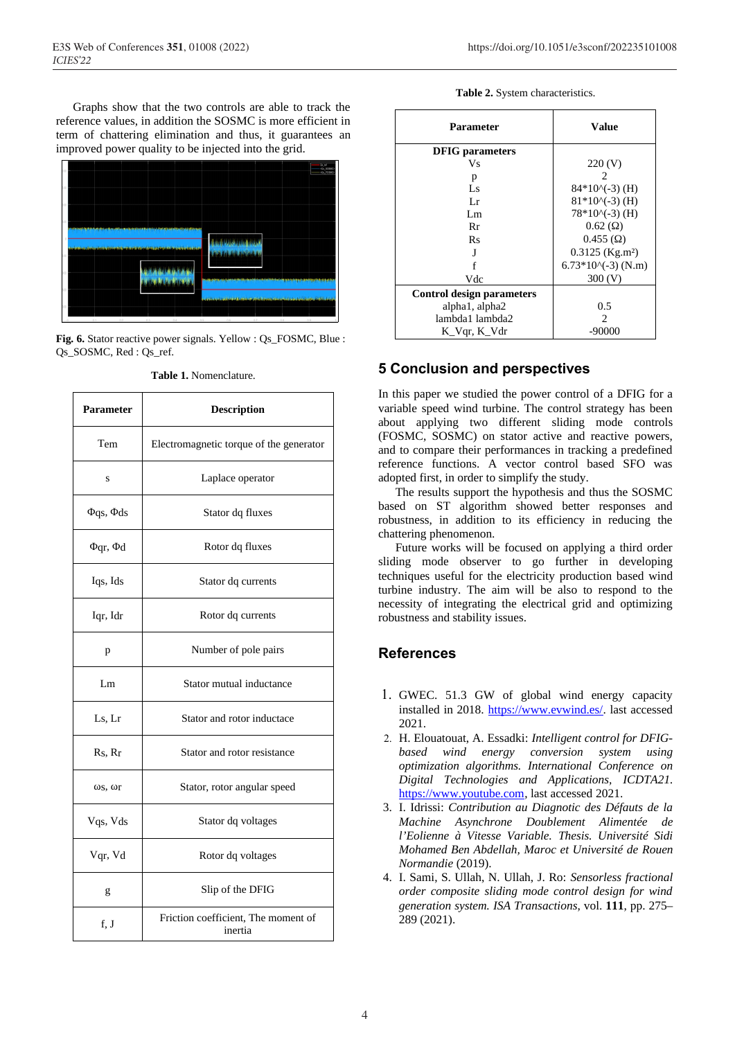Graphs show that the two controls are able to track the reference values, in addition the SOSMC is more efficient in term of chattering elimination and thus, it guarantees an improved power quality to be injected into the grid.



**Fig. 6.** Stator reactive power signals. Yellow : Qs\_FOSMC, Blue : Qs\_SOSMC, Red : Qs\_ref.

| Parameter              | <b>Description</b>                             |  |
|------------------------|------------------------------------------------|--|
| Tem                    | Electromagnetic torque of the generator        |  |
| S                      | Laplace operator                               |  |
| $\Phi$ qs, $\Phi$ ds   | Stator dq fluxes                               |  |
| $\Phi$ qr, $\Phi$ d    | Rotor dq fluxes                                |  |
| Iqs, Ids               | Stator dq currents                             |  |
| Iqr, Idr               | Rotor dq currents                              |  |
| p                      | Number of pole pairs                           |  |
| Lm                     | Stator mutual inductance                       |  |
| Ls, Lr                 | Stator and rotor inductace                     |  |
| Rs, Rr                 | Stator and rotor resistance                    |  |
| $\omega$ s, $\omega$ r | Stator, rotor angular speed                    |  |
| Vqs, Vds               | Stator dq voltages                             |  |
| Vqr, Vd                | Rotor dq voltages                              |  |
| g                      | Slip of the DFIG                               |  |
| f, J                   | Friction coefficient, The moment of<br>inertia |  |

**Table 1.** Nomenclature.

|  |  | Table 2. System characteristics. |
|--|--|----------------------------------|
|--|--|----------------------------------|

| Parameter                        | Value                         |
|----------------------------------|-------------------------------|
| <b>DFIG</b> parameters           |                               |
| Vs                               | 220 (V)                       |
| р                                |                               |
| Ls                               | $84*10\(-3)$ (H)              |
| Lr                               | $81*10\(-3)$ (H)              |
| Lm                               | $78*10\ (-3)$ (H)             |
| Rr                               | $0.62 \, (\Omega)$            |
| Rs                               | $0.455$ ( $\Omega$ )          |
| J                                | $0.3125$ (Kg.m <sup>2</sup> ) |
|                                  | $6.73*10\ (-3)$ (N.m)         |
| Vdc                              | 300(V)                        |
| <b>Control design parameters</b> |                               |
| alpha1, alpha2                   | 0.5                           |
| lambda1 lambda2                  | $\mathcal{L}$                 |
| K_Vqr, K_Vdr                     | -90000                        |

# **5 Conclusion and perspectives**

In this paper we studied the power control of a DFIG for a variable speed wind turbine. The control strategy has been about applying two different sliding mode controls (FOSMC, SOSMC) on stator active and reactive powers, and to compare their performances in tracking a predefined reference functions. A vector control based SFO was adopted first, in order to simplify the study.

The results support the hypothesis and thus the SOSMC based on ST algorithm showed better responses and robustness, in addition to its efficiency in reducing the chattering phenomenon.

Future works will be focused on applying a third order sliding mode observer to go further in developing techniques useful for the electricity production based wind turbine industry. The aim will be also to respond to the necessity of integrating the electrical grid and optimizing robustness and stability issues.

# **References**

- 1. GWEC. 51.3 GW of global wind energy capacity installed in 2018. https://www.evwind.es/. last accessed 2021.
- 2. H. Elouatouat, A. Essadki: *Intelligent control for DFIGbased wind energy conversion system using optimization algorithms. International Conference on Digital Technologies and Applications, ICDTA21.* https://www.youtube.com, last accessed 2021.
- 3. I. Idrissi: *Contribution au Diagnotic des Défauts de la Machine Asynchrone Doublement Alimentée de l'Eolienne à Vitesse Variable. Thesis. Université Sidi Mohamed Ben Abdellah, Maroc et Université de Rouen Normandie* (2019).
- 4. I. Sami, S. Ullah, N. Ullah, J. Ro: *Sensorless fractional order composite sliding mode control design for wind generation system. ISA Transactions*, vol. **111**, pp. 275– 289 (2021).